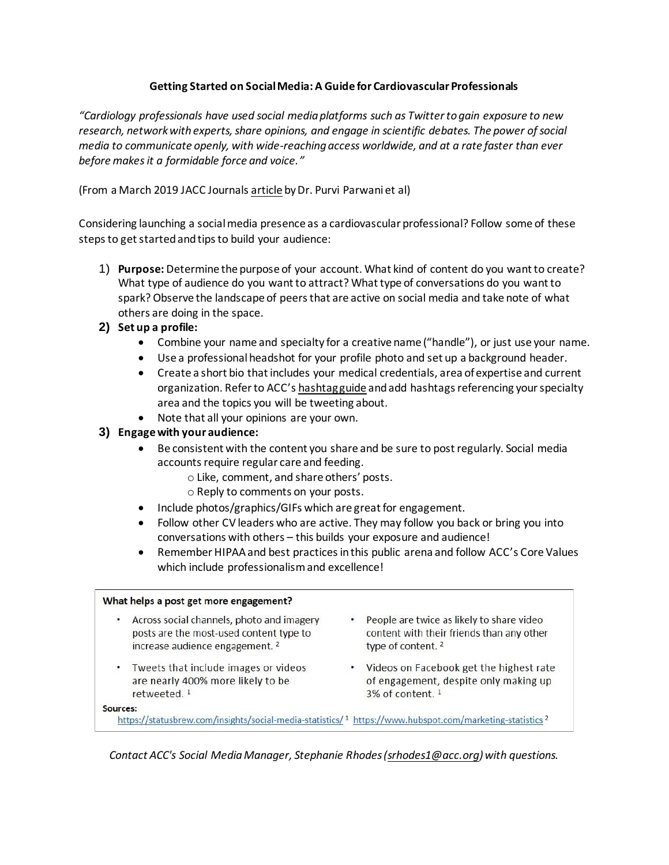# **Getting Started on Social Media: A Guide for Cardiovascular Professionals**

*"Cardiology professionals have used social media platforms such as Twitter to gain exposure to new research, network with experts, share opinions, and engage in scientific debates. The power of social media to communicate openly, with wide-reaching access worldwide, and at a rate faster than ever before makes it a formidable force and voice."*

(From a March 2019 JACC Journal[s article](https://www.jacc.org/doi/10.1016/j.jacc.2018.12.044) by Dr[. Purvi Parwan](https://www.jacc.org/doi/10.1016/j.jacc.2018.12.044)i et al)

Considering launching a social media presence as a cardiovascular professional? Follow some of these steps to get started and tips to build your audience:

- 1) **Purpose:** Determine the purpose of your account. What kind of content do you want to create? What type of audience do you want to attract? What type of conversations do you want to spark? Observe the landscape of peers that are active on social media and take note of what others are doing in the space.
- **2) Set up a profile:** 
	- Combine your name and specialty for a creative name ("handle"), or just use your name.
	- Use a professional headshot for your profile photo and set up a background header.
	- Create a short bio that includes your medical credentials, area of expertise and current organization. Refer to ACC's [hashtag guide](file:///C:/Users/srhodes1/Downloads/ACC-Social-Media-Hashtag-Reference-Guide%20(40).pdf) and add hashtags referencing your specialty area and the topics you will be tweeting about.
	- Note that all your opinions are your own.

# **3) Engage with your audience:**

- Be consistent with the content you share and be sure to post regularly. Social media accounts require regular care and feeding.
	- o Like, comment, and share others' posts.
	- o Reply to comments on your posts.
- Include photos/graphics/GIFs which are great for engagement.
- Follow other CV leaders who are active. They may follow you back or bring you into conversations with others – this builds your exposure and audience!
- Remember HIPAA and best practices in this public arena and follow ACC's Core Values which include professionalism and excellence!

### What helps a post get more engagement?

- Across social channels, photo and imagery posts are the most-used content type to increase audience engagement.<sup>2</sup>
- Tweets that include images or videos are nearly 400% more likely to be retweeted.<sup>1</sup>
- People are twice as likely to share video content with their friends than any other type of content.<sup>2</sup>
- Videos on Facebook get the highest rate of engagement, despite only making up 3% of content. 1

#### Sources:

https://statusbrew.com/insights/social-media-statistics/1 https://www.hubspot.com/marketing-statistics<sup>2</sup>

*Contact ACC's Social Media Manager, Stephanie Rhodes [\(srhodes1@acc.org\)](mailto:srhodes1@acc.org) with questions.*